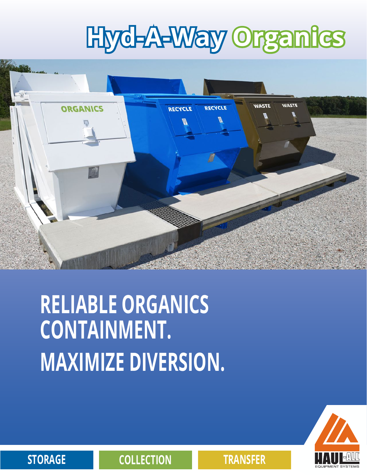# **Hyd-A-Way Organics**



# **RELIABLE ORGANICS CONTAINMENT. MAXIMIZE DIVERSION.**



**STORAGE COLLECTION TRANSFER**